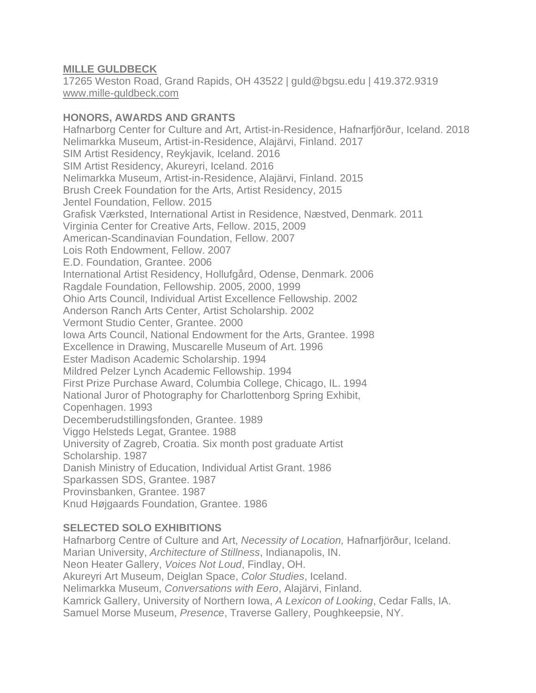## **MILLE GULDBECK**

17265 Weston Road, Grand Rapids, OH 43522 | guld@bgsu.edu | 419.372.9319 [www.mille-guldbeck.com](http://www.mille-guldbeck.com/)

### **HONORS, AWARDS AND GRANTS**

Hafnarborg Center for Culture and Art, Artist-in-Residence, Hafnarfjörður, Iceland. 2018 Nelimarkka Museum, Artist-in-Residence, Alajärvi, Finland. 2017 SIM Artist Residency, Reykjavik, Iceland. 2016 SIM Artist Residency, Akureyri, Iceland. 2016 Nelimarkka Museum, Artist-in-Residence, Alajärvi, Finland. 2015 Brush Creek Foundation for the Arts, Artist Residency, 2015 Jentel Foundation, Fellow. 2015 Grafisk Værksted, International Artist in Residence, Næstved, Denmark. 2011 Virginia Center for Creative Arts, Fellow. 2015, 2009 American-Scandinavian Foundation, Fellow. 2007 Lois Roth Endowment, Fellow. 2007 E.D. Foundation, Grantee. 2006 International Artist Residency, Hollufgård, Odense, Denmark. 2006 Ragdale Foundation, Fellowship. 2005, 2000, 1999 Ohio Arts Council, Individual Artist Excellence Fellowship. 2002 Anderson Ranch Arts Center, Artist Scholarship. 2002 Vermont Studio Center, Grantee. 2000 Iowa Arts Council, National Endowment for the Arts, Grantee. 1998 Excellence in Drawing, Muscarelle Museum of Art. 1996 Ester Madison Academic Scholarship. 1994 Mildred Pelzer Lynch Academic Fellowship. 1994 First Prize Purchase Award, Columbia College, Chicago, IL. 1994 National Juror of Photography for Charlottenborg Spring Exhibit, Copenhagen. 1993 Decemberudstillingsfonden, Grantee. 1989 Viggo Helsteds Legat, Grantee. 1988 University of Zagreb, Croatia. Six month post graduate Artist Scholarship. 1987 Danish Ministry of Education, Individual Artist Grant. 1986 Sparkassen SDS, Grantee. 1987 Provinsbanken, Grantee. 1987 Knud Højgaards Foundation, Grantee. 1986

# **SELECTED SOLO EXHIBITIONS**

Hafnarborg Centre of Culture and Art, *Necessity of Location,* Hafnarfjörður, Iceland. Marian University, *Architecture of Stillness*, Indianapolis, IN. Neon Heater Gallery, *Voices Not Loud*, Findlay, OH. Akureyri Art Museum, Deiglan Space, *Color Studies*, Iceland. Nelimarkka Museum, *Conversations with Eero*, Alajärvi, Finland. Kamrick Gallery, University of Northern Iowa, *A Lexicon of Looking*, Cedar Falls, IA. Samuel Morse Museum, *Presence*, Traverse Gallery, Poughkeepsie, NY.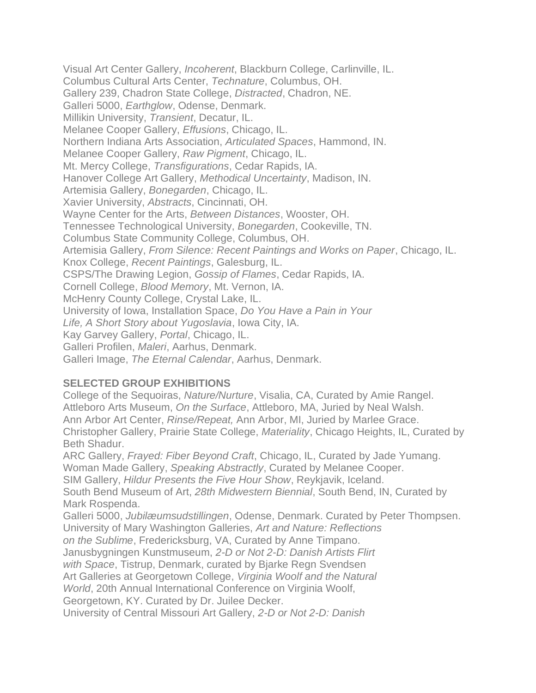Visual Art Center Gallery, *Incoherent*, Blackburn College, Carlinville, IL. Columbus Cultural Arts Center, *Technature*, Columbus, OH. Gallery 239, Chadron State College, *Distracted*, Chadron, NE. Galleri 5000, *Earthglow*, Odense, Denmark. Millikin University, *Transient*, Decatur, IL. Melanee Cooper Gallery, *Effusions*, Chicago, IL. Northern Indiana Arts Association, *Articulated Spaces*, Hammond, IN. Melanee Cooper Gallery, *Raw Pigment*, Chicago, IL. Mt. Mercy College, *Transfigurations*, Cedar Rapids, IA. Hanover College Art Gallery, *Methodical Uncertainty*, Madison, IN. Artemisia Gallery, *Bonegarden*, Chicago, IL. Xavier University, *Abstracts*, Cincinnati, OH. Wayne Center for the Arts, *Between Distances*, Wooster, OH. Tennessee Technological University, *Bonegarden*, Cookeville, TN. Columbus State Community College, Columbus, OH. Artemisia Gallery, *From Silence: Recent Paintings and Works on Paper*, Chicago, IL. Knox College, *Recent Paintings*, Galesburg, IL. CSPS/The Drawing Legion, *Gossip of Flames*, Cedar Rapids, IA. Cornell College, *Blood Memory*, Mt. Vernon, IA. McHenry County College, Crystal Lake, IL. University of Iowa, Installation Space, *Do You Have a Pain in Your Life, A Short Story about Yugoslavia*, Iowa City, IA. Kay Garvey Gallery, *Portal*, Chicago, IL. Galleri Profilen, *Maleri*, Aarhus, Denmark. Galleri Image, *The Eternal Calendar*, Aarhus, Denmark.

#### **SELECTED GROUP EXHIBITIONS**

College of the Sequoiras, *Nature/Nurture*, Visalia, CA, Curated by Amie Rangel. Attleboro Arts Museum, *On the Surface*, Attleboro, MA, Juried by Neal Walsh. Ann Arbor Art Center, *Rinse/Repeat,* Ann Arbor, MI, Juried by Marlee Grace. Christopher Gallery, Prairie State College, *Materiality*, Chicago Heights, IL, Curated by Beth Shadur. ARC Gallery, *Frayed: Fiber Beyond Craft*, Chicago, IL, Curated by Jade Yumang. Woman Made Gallery, *Speaking Abstractly*, Curated by Melanee Cooper.

SIM Gallery, *Hildur Presents the Five Hour Show*, Reykjavik, Iceland.

South Bend Museum of Art, *28th Midwestern Biennial*, South Bend, IN, Curated by Mark Rospenda.

Galleri 5000, *Jubilæumsudstillingen*, Odense, Denmark. Curated by Peter Thompsen. University of Mary Washington Galleries, *Art and Nature: Reflections*

*on the Sublime*, Fredericksburg, VA, Curated by Anne Timpano.

Janusbygningen Kunstmuseum, *2-D or Not 2-D: Danish Artists Flirt*

*with Space*, Tistrup, Denmark, curated by Bjarke Regn Svendsen

Art Galleries at Georgetown College, *Virginia Woolf and the Natural*

*World*, 20th Annual International Conference on Virginia Woolf,

Georgetown, KY. Curated by Dr. Juilee Decker.

University of Central Missouri Art Gallery, *2-D or Not 2-D: Danish*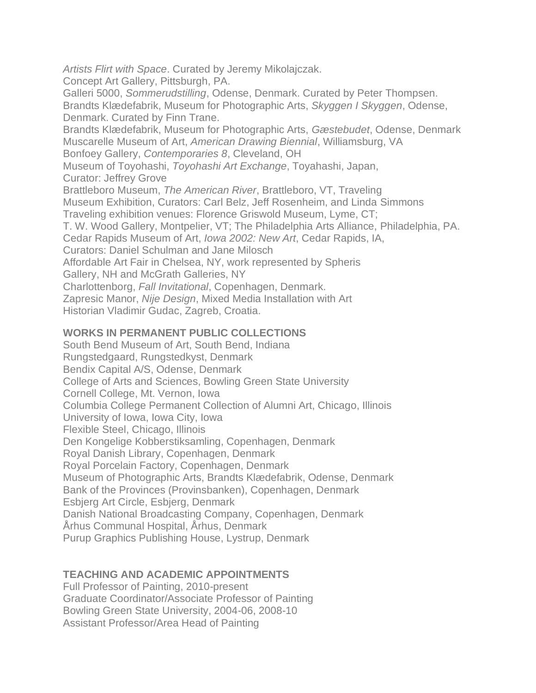*Artists Flirt with Space*. Curated by Jeremy Mikolajczak. Concept Art Gallery, Pittsburgh, PA. Galleri 5000, *Sommerudstilling*, Odense, Denmark. Curated by Peter Thompsen. Brandts Klædefabrik, Museum for Photographic Arts, *Skyggen I Skyggen*, Odense, Denmark. Curated by Finn Trane. Brandts Klædefabrik, Museum for Photographic Arts, *Gæstebudet*, Odense, Denmark Muscarelle Museum of Art, *American Drawing Biennial*, Williamsburg, VA Bonfoey Gallery, *Contemporaries 8*, Cleveland, OH Museum of Toyohashi, *Toyohashi Art Exchange*, Toyahashi, Japan, Curator: Jeffrey Grove Brattleboro Museum, *The American River*, Brattleboro, VT, Traveling Museum Exhibition, Curators: Carl Belz, Jeff Rosenheim, and Linda Simmons Traveling exhibition venues: Florence Griswold Museum, Lyme, CT; T. W. Wood Gallery, Montpelier, VT; The Philadelphia Arts Alliance, Philadelphia, PA. Cedar Rapids Museum of Art, *Iowa 2002: New Art*, Cedar Rapids, IA, Curators: Daniel Schulman and Jane Milosch Affordable Art Fair in Chelsea, NY, work represented by Spheris Gallery, NH and McGrath Galleries, NY Charlottenborg, *Fall Invitational*, Copenhagen, Denmark. Zapresic Manor, *Nije Design*, Mixed Media Installation with Art Historian Vladimir Gudac, Zagreb, Croatia.

#### **WORKS IN PERMANENT PUBLIC COLLECTIONS**

South Bend Museum of Art, South Bend, Indiana Rungstedgaard, Rungstedkyst, Denmark Bendix Capital A/S, Odense, Denmark College of Arts and Sciences, Bowling Green State University Cornell College, Mt. Vernon, Iowa Columbia College Permanent Collection of Alumni Art, Chicago, Illinois University of Iowa, Iowa City, Iowa Flexible Steel, Chicago, Illinois Den Kongelige Kobberstiksamling, Copenhagen, Denmark Royal Danish Library, Copenhagen, Denmark Royal Porcelain Factory, Copenhagen, Denmark Museum of Photographic Arts, Brandts Klædefabrik, Odense, Denmark Bank of the Provinces (Provinsbanken), Copenhagen, Denmark Esbjerg Art Circle, Esbjerg, Denmark Danish National Broadcasting Company, Copenhagen, Denmark Århus Communal Hospital, Århus, Denmark Purup Graphics Publishing House, Lystrup, Denmark

# **TEACHING AND ACADEMIC APPOINTMENTS**

Full Professor of Painting, 2010-present Graduate Coordinator/Associate Professor of Painting Bowling Green State University, 2004-06, 2008-10 Assistant Professor/Area Head of Painting